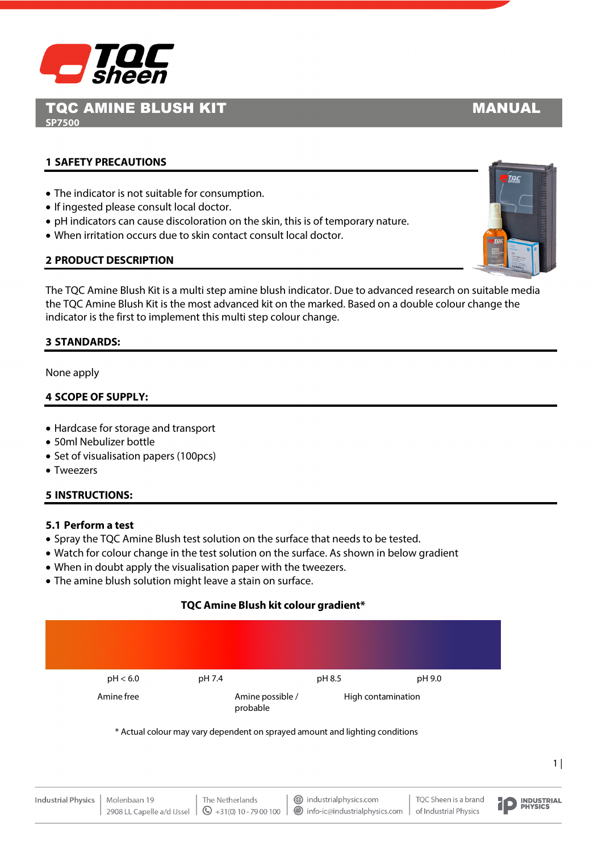

TQC AMINE BLUSH KIT MANUAL **SP7500**

# **1 SAFETY PRECAUTIONS**

- The indicator is not suitable for consumption.
- If ingested please consult local doctor.
- pH indicators can cause discoloration on the skin, this is of temporary nature.
- When irritation occurs due to skin contact consult local doctor.

# **2 PRODUCT DESCRIPTION**

The TQC Amine Blush Kit is a multi step amine blush indicator. Due to advanced research on suitable media the TQC Amine Blush Kit is the most advanced kit on the marked. Based on a double colour change the indicator is the first to implement this multi step colour change.

### **3 STANDARDS:**

None apply

#### **4 SCOPE OF SUPPLY:**

- Hardcase for storage and transport
- 50ml Nebulizer bottle
- Set of visualisation papers (100pcs)
- Tweezers

#### **5 INSTRUCTIONS:**

#### **5.1 Perform a test**

- Spray the TQC Amine Blush test solution on the surface that needs to be tested.
- Watch for colour change in the test solution on the surface. As shown in below gradient
- When in doubt apply the visualisation paper with the tweezers.
- The amine blush solution might leave a stain on surface.

## **TQC Amine Blush kit colour gradient\***



\* Actual colour may vary dependent on sprayed amount and lighting conditions

| Industrial Physics   Molenbaan 19 | The Netherlands | i industrialphysics.com                                                                                                                                      | TQC Sheen is a brand<br>of Industrial Physics<br>D <b>PHYSICS</b> |  |
|-----------------------------------|-----------------|--------------------------------------------------------------------------------------------------------------------------------------------------------------|-------------------------------------------------------------------|--|
|                                   |                 | 2908 LL Capelle a/d IJssel $\  \mathbb{Q}_{+31(0)}$ 10 - 79 00 100 $\  \mathbb{Q}_{-1}$ info-ic $\emptyset$ industrialphysics.com $\ $ of Industrial Physics |                                                                   |  |



 $1$